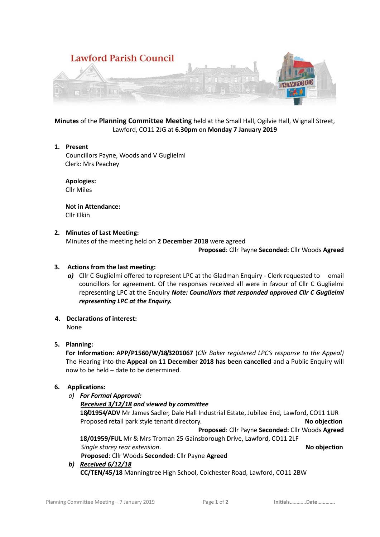

**Minutes** of the **Planning Committee Meeting** held at the Small Hall, Ogilvie Hall, Wignall Street, Lawford, CO11 2JG at **6.30pm** on **Monday 7 January 2019**

**1. Present**

Councillors Payne, Woods and V Guglielmi Clerk: Mrs Peachey

 **Apologies:** Cllr Miles

 **Not in Attendance:** Cllr Elkin

## **2. Minutes of Last Meeting:**

Minutes of the meeting held on **2 December 2018** were agreed

**Proposed**: Cllr Payne **Seconded:** Cllr Woods **Agreed**

# **3. Actions from the last meeting:**

- **a)** Cllr C Guglielmi offered to represent LPC at the Gladman Enquiry Clerk requested to email councillors for agreement. Of the responses received all were in favour of Cllr C Guglielmi representing LPC at the Enquiry *Note: Councillors that responded approved Cllr C Guglielmi representing LPC at the Enquiry.*
- **4. Declarations of interest:**

None

# **5. Planning:**

**For Information: APP/P1560/W/18/3201067** (*Cllr Baker registered LPC's response to the Appeal)*  The Hearing into the **Appeal on 11 December 2018 has been cancelled** and a Public Enquiry will now to be held – date to be determined.

### **6. Applications:**

- *a) For Formal Approval:*
	- *Received 3/12/18 and viewed by committee*

**18/01954/ADV** Mr James Sadler, Dale Hall Industrial Estate, Jubilee End, Lawford, CO11 1UR Proposed retail park style tenant directory. **No objection**

**Proposed**: Cllr Payne **Seconded:** Cllr Woods **Agreed**

**18/01959/FUL** Mr & Mrs Troman 25 Gainsborough Drive, Lawford, CO11 2LF  *Single storey rear extension*. **No objection Proposed**: Cllr Woods **Seconded:** Cllr Payne **Agreed**

# *b) Received 6/12/18*

**CC/TEN/45/18** Manningtree High School, Colchester Road, Lawford, CO11 2BW